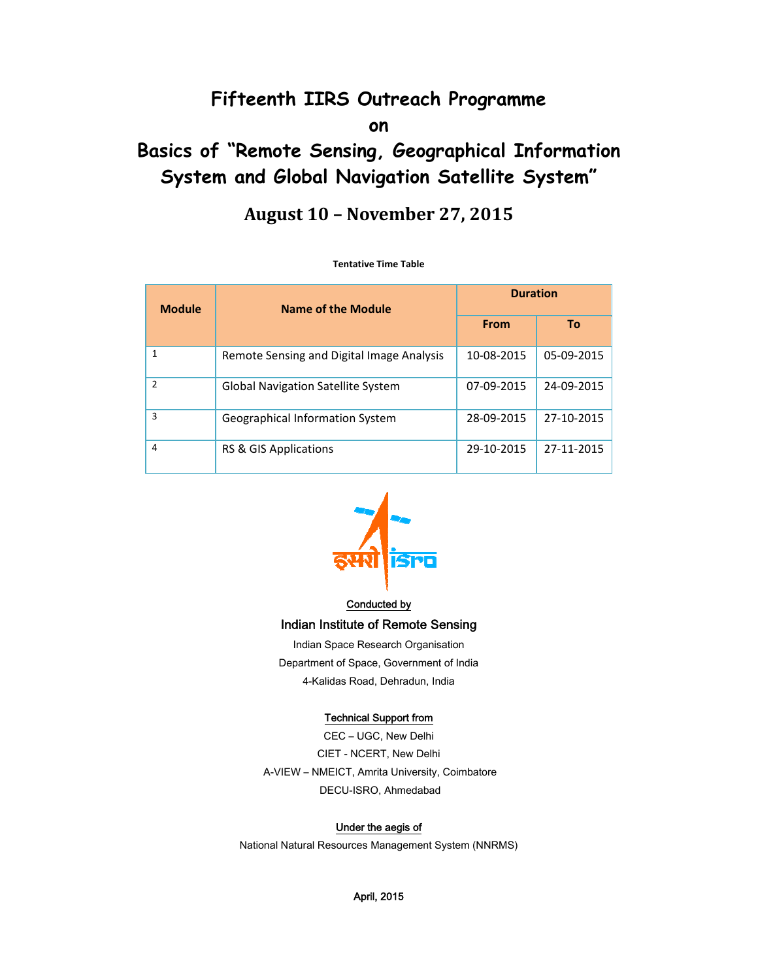# **Fifteenth IIRS Outreach Programme**

**on** 

# **Basics of "Remote Sensing, Geographical Information System and Global Navigation Satellite System"**

# **August 10 – November 27, 2015**

| Name of the Module<br><b>Module</b> |                                           | <b>Duration</b> |            |
|-------------------------------------|-------------------------------------------|-----------------|------------|
|                                     | <b>From</b>                               | To              |            |
| 1                                   | Remote Sensing and Digital Image Analysis | 10-08-2015      | 05-09-2015 |
| $\mathcal{P}$                       | <b>Global Navigation Satellite System</b> | 07-09-2015      | 24-09-2015 |
| 3                                   | Geographical Information System           | 28-09-2015      | 27-10-2015 |
| 4                                   | RS & GIS Applications                     | 29-10-2015      | 27-11-2015 |

# **Tentative Time Table**



## Conducted by

Indian Institute of Remote Sensing

Indian Space Research Organisation Department of Space, Government of India 4-Kalidas Road, Dehradun, India

## Technical Support from

CEC – UGC, New Delhi CIET - NCERT, New Delhi A-VIEW – NMEICT, Amrita University, Coimbatore DECU-ISRO, Ahmedabad

# Under the aegis of

National Natural Resources Management System (NNRMS)

April, 2015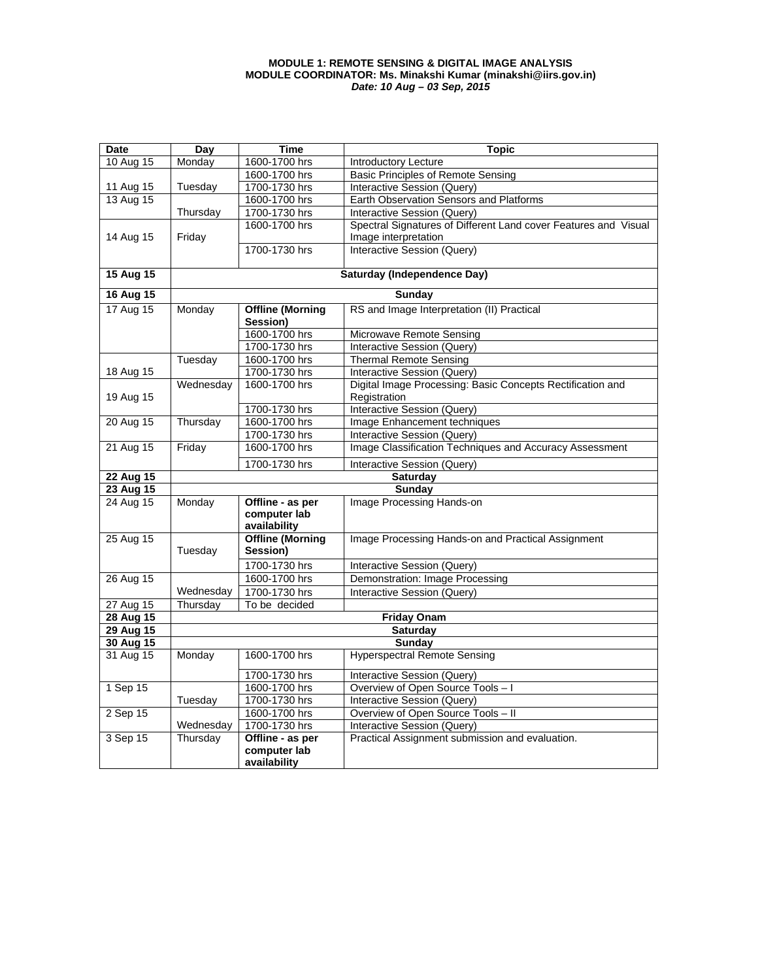#### **MODULE 1: REMOTE SENSING & DIGITAL IMAGE ANALYSIS MODULE COORDINATOR: Ms. Minakshi Kumar (minakshi@iirs.gov.in)**  *Date: 10 Aug – 03 Sep, 2015*

| <b>Date</b>            | Day                              | <b>Time</b>             | <b>Topic</b>                                                    |  |
|------------------------|----------------------------------|-------------------------|-----------------------------------------------------------------|--|
| 10 Aug 15              | Monday                           | 1600-1700 hrs           | <b>Introductory Lecture</b>                                     |  |
|                        |                                  | 1600-1700 hrs           | <b>Basic Principles of Remote Sensing</b>                       |  |
| 11 Aug 15              | Tuesday                          | 1700-1730 hrs           | Interactive Session (Query)                                     |  |
| 13 Aug 15              |                                  | 1600-1700 hrs           | Earth Observation Sensors and Platforms                         |  |
|                        | Thursday                         | 1700-1730 hrs           | Interactive Session (Query)                                     |  |
|                        |                                  | 1600-1700 hrs           | Spectral Signatures of Different Land cover Features and Visual |  |
| 14 Aug 15              | Friday                           |                         | Image interpretation                                            |  |
|                        |                                  | 1700-1730 hrs           | <b>Interactive Session (Query)</b>                              |  |
|                        |                                  |                         |                                                                 |  |
| 15 Aug 15              |                                  |                         | <b>Saturday (Independence Day)</b>                              |  |
| <b>16 Aug 15</b>       |                                  |                         | <b>Sunday</b>                                                   |  |
| 17 Aug 15              | Monday                           | <b>Offline (Morning</b> | RS and Image Interpretation (II) Practical                      |  |
|                        |                                  | Session)                |                                                                 |  |
|                        |                                  | 1600-1700 hrs           | Microwave Remote Sensing                                        |  |
|                        |                                  | 1700-1730 hrs           | Interactive Session (Query)                                     |  |
|                        | Tuesday                          | 1600-1700 hrs           | <b>Thermal Remote Sensing</b>                                   |  |
| 18 Aug 15              |                                  | 1700-1730 hrs           | Interactive Session (Query)                                     |  |
|                        | Wednesday                        | 1600-1700 hrs           | Digital Image Processing: Basic Concepts Rectification and      |  |
| 19 Aug 15              |                                  |                         | Registration                                                    |  |
|                        |                                  | 1700-1730 hrs           | Interactive Session (Query)                                     |  |
| 20 Aug 15              | Thursday                         | 1600-1700 hrs           | Image Enhancement techniques                                    |  |
|                        |                                  | 1700-1730 hrs           | Interactive Session (Query)                                     |  |
| 21 Aug 15              | Friday                           | 1600-1700 hrs           | Image Classification Techniques and Accuracy Assessment         |  |
|                        |                                  | 1700-1730 hrs           | Interactive Session (Query)                                     |  |
| 22 Aug 15              | Saturday                         |                         |                                                                 |  |
| 23 Aug 15              |                                  | Sunday                  |                                                                 |  |
| 24 Aug 15              | Monday                           | Offline - as per        | Image Processing Hands-on                                       |  |
|                        |                                  | computer lab            |                                                                 |  |
|                        |                                  | availability            |                                                                 |  |
| 25 Aug 15              |                                  | <b>Offline (Morning</b> | Image Processing Hands-on and Practical Assignment              |  |
|                        | Tuesday                          | Session)                |                                                                 |  |
|                        |                                  | 1700-1730 hrs           | Interactive Session (Query)                                     |  |
| 26 Aug 15              |                                  | 1600-1700 hrs           | <b>Demonstration: Image Processing</b>                          |  |
|                        | Wednesday                        | 1700-1730 hrs           | Interactive Session (Query)                                     |  |
| 27 Aug 15              | Thursday                         | To be decided           |                                                                 |  |
| <b>28 Aug 15</b>       | <b>Friday Onam</b>               |                         |                                                                 |  |
| 29 Aug 15              | <b>Saturday</b><br><b>Sunday</b> |                         |                                                                 |  |
| 30 Aug 15<br>31 Aug 15 | Monday                           |                         | <b>Hyperspectral Remote Sensing</b>                             |  |
|                        |                                  | 1600-1700 hrs           |                                                                 |  |
|                        |                                  | 1700-1730 hrs           | Interactive Session (Query)                                     |  |
| 1 Sep 15               |                                  | 1600-1700 hrs           | Overview of Open Source Tools - I                               |  |
|                        | Tuesday                          | 1700-1730 hrs           | Interactive Session (Query)                                     |  |
| 2 Sep 15               |                                  | 1600-1700 hrs           | Overview of Open Source Tools - II                              |  |
|                        | Wednesday                        | 1700-1730 hrs           | Interactive Session (Query)                                     |  |
| 3 Sep 15               | Thursday                         | Offline - as per        | Practical Assignment submission and evaluation.                 |  |
|                        |                                  | computer lab            |                                                                 |  |
|                        |                                  | availability            |                                                                 |  |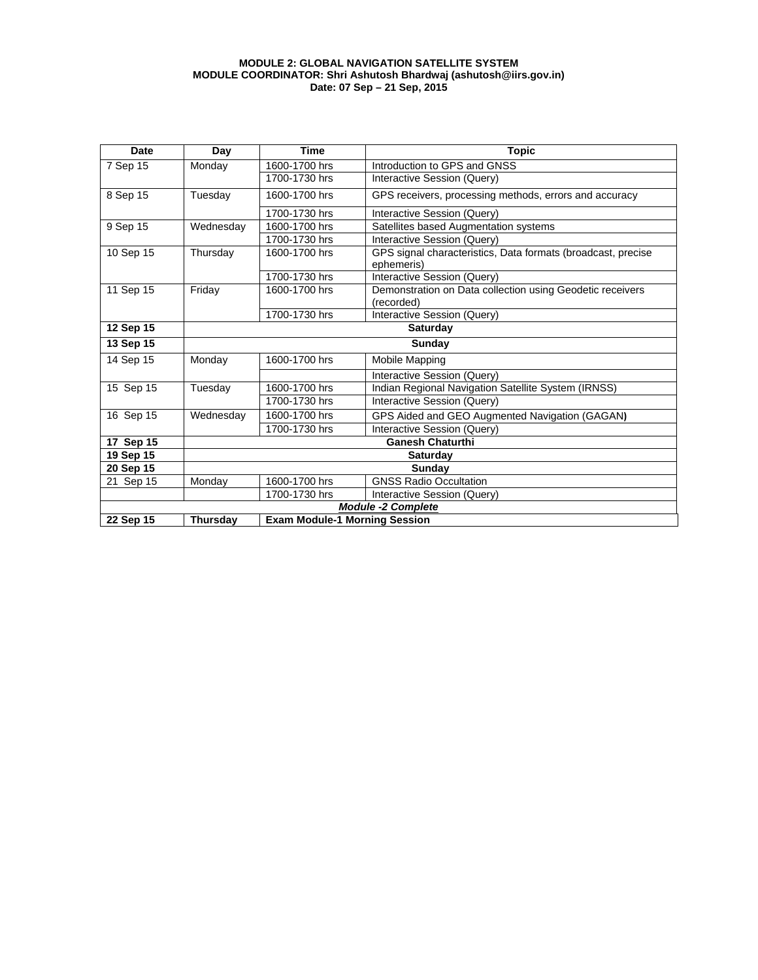#### **MODULE 2: GLOBAL NAVIGATION SATELLITE SYSTEM MODULE COORDINATOR: Shri Ashutosh Bhardwaj (ashutosh@iirs.gov.in) Date: 07 Sep – 21 Sep, 2015**

| <b>Date</b>               | Day                     | <b>Time</b>                          | <b>Topic</b>                                                               |
|---------------------------|-------------------------|--------------------------------------|----------------------------------------------------------------------------|
| 7 Sep 15                  | Monday                  | 1600-1700 hrs                        | Introduction to GPS and GNSS                                               |
|                           |                         | 1700-1730 hrs                        | Interactive Session (Query)                                                |
| 8 Sep 15                  | Tuesday                 | 1600-1700 hrs                        | GPS receivers, processing methods, errors and accuracy                     |
|                           |                         | 1700-1730 hrs                        | Interactive Session (Query)                                                |
| 9 Sep 15                  | Wednesday               | 1600-1700 hrs                        | Satellites based Augmentation systems                                      |
|                           |                         | 1700-1730 hrs                        | Interactive Session (Query)                                                |
| 10 Sep 15                 | Thursday                | 1600-1700 hrs                        | GPS signal characteristics, Data formats (broadcast, precise<br>ephemeris) |
|                           |                         | 1700-1730 hrs                        | <b>Interactive Session (Query)</b>                                         |
| 11 Sep 15                 | Friday                  | 1600-1700 hrs                        | Demonstration on Data collection using Geodetic receivers<br>(recorded)    |
|                           |                         | 1700-1730 hrs                        | Interactive Session (Query)                                                |
| 12 Sep 15                 | <b>Saturday</b>         |                                      |                                                                            |
| 13 Sep 15                 | Sunday                  |                                      |                                                                            |
| 14 Sep 15                 | Monday                  | 1600-1700 hrs                        | Mobile Mapping                                                             |
|                           |                         |                                      | Interactive Session (Query)                                                |
| 15 Sep 15                 | Tuesday                 | 1600-1700 hrs                        | Indian Regional Navigation Satellite System (IRNSS)                        |
|                           |                         | 1700-1730 hrs                        | Interactive Session (Query)                                                |
| 16 Sep 15                 | Wednesday               | 1600-1700 hrs                        | GPS Aided and GEO Augmented Navigation (GAGAN)                             |
|                           |                         | 1700-1730 hrs                        | Interactive Session (Query)                                                |
| 17 Sep 15                 | <b>Ganesh Chaturthi</b> |                                      |                                                                            |
| 19 Sep 15                 | <b>Saturday</b>         |                                      |                                                                            |
| 20 Sep 15                 | Sunday                  |                                      |                                                                            |
| 21 Sep 15                 | Monday                  | 1600-1700 hrs                        | <b>GNSS Radio Occultation</b>                                              |
|                           |                         | 1700-1730 hrs                        | Interactive Session (Query)                                                |
| <b>Module -2 Complete</b> |                         |                                      |                                                                            |
| 22 Sep 15                 | <b>Thursday</b>         | <b>Exam Module-1 Morning Session</b> |                                                                            |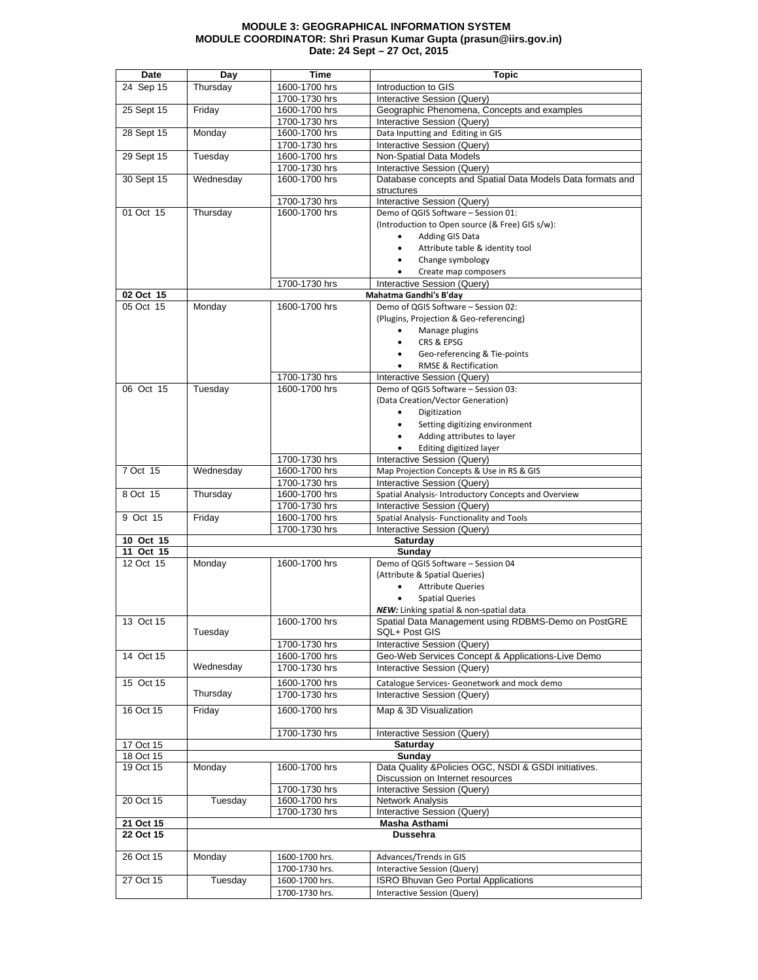#### **MODULE 3: GEOGRAPHICAL INFORMATION SYSTEM MODULE COORDINATOR: Shri Prasun Kumar Gupta (prasun@iirs.gov.in) Date: 24 Sept – 27 Oct, 2015**

| Date       | Day           | Time           | <b>Topic</b>                                               |
|------------|---------------|----------------|------------------------------------------------------------|
| 24 Sep 15  | Thursday      | 1600-1700 hrs  | Introduction to GIS                                        |
|            |               |                |                                                            |
|            |               | 1700-1730 hrs  | Interactive Session (Query)                                |
| 25 Sept 15 | Friday        | 1600-1700 hrs  | Geographic Phenomena, Concepts and examples                |
|            |               | 1700-1730 hrs  | Interactive Session (Query)                                |
| 28 Sept 15 | Mondav        | 1600-1700 hrs  | Data Inputting and Editing in GIS                          |
|            |               | 1700-1730 hrs  | Interactive Session (Query)                                |
| 29 Sept 15 | Tuesday       | 1600-1700 hrs  | Non-Spatial Data Models                                    |
|            |               | 1700-1730 hrs  | Interactive Session (Query)                                |
| 30 Sept 15 | Wednesday     | 1600-1700 hrs  | Database concepts and Spatial Data Models Data formats and |
|            |               |                | structures                                                 |
|            |               | 1700-1730 hrs  | Interactive Session (Query)                                |
| 01 Oct 15  | Thursday      | 1600-1700 hrs  | Demo of QGIS Software - Session 01:                        |
|            |               |                | (Introduction to Open source (& Free) GIS s/w):            |
|            |               |                |                                                            |
|            |               |                | Adding GIS Data                                            |
|            |               |                | Attribute table & identity tool                            |
|            |               |                | Change symbology                                           |
|            |               |                | Create map composers                                       |
|            |               | 1700-1730 hrs  | Interactive Session (Query)                                |
| 02 Oct 15  |               |                | Mahatma Gandhi's B'day                                     |
| 05 Oct 15  | Monday        | 1600-1700 hrs  | Demo of QGIS Software - Session 02:                        |
|            |               |                | (Plugins, Projection & Geo-referencing)                    |
|            |               |                | Manage plugins<br>$\bullet$                                |
|            |               |                | CRS & EPSG<br>$\bullet$                                    |
|            |               |                | Geo-referencing & Tie-points                               |
|            |               |                | <b>RMSE &amp; Rectification</b>                            |
|            |               |                | Interactive Session (Query)                                |
|            | Tuesday       | 1700-1730 hrs  |                                                            |
| 06 Oct 15  |               | 1600-1700 hrs  | Demo of QGIS Software - Session 03:                        |
|            |               |                | (Data Creation/Vector Generation)                          |
|            |               |                | Digitization<br>$\bullet$                                  |
|            |               |                | Setting digitizing environment                             |
|            |               |                | Adding attributes to layer                                 |
|            |               |                | Editing digitized layer                                    |
|            |               | 1700-1730 hrs  | Interactive Session (Query)                                |
| 7 Oct 15   | Wednesday     | 1600-1700 hrs  | Map Projection Concepts & Use in RS & GIS                  |
|            |               | 1700-1730 hrs  | Interactive Session (Query)                                |
| 8 Oct 15   | Thursday      | 1600-1700 hrs  | Spatial Analysis- Introductory Concepts and Overview       |
|            |               | 1700-1730 hrs  | Interactive Session (Query)                                |
| 9 Oct 15   | Friday        | 1600-1700 hrs  | Spatial Analysis- Functionality and Tools                  |
|            |               | 1700-1730 hrs  | Interactive Session (Query)                                |
| 10 Oct 15  |               |                | Saturday                                                   |
| 11 Oct 15  |               |                | Sunday                                                     |
| 12 Oct 15  | Monday        | 1600-1700 hrs  | Demo of QGIS Software - Session 04                         |
|            |               |                | (Attribute & Spatial Queries)                              |
|            |               |                | $\bullet$                                                  |
|            |               |                | <b>Attribute Queries</b>                                   |
|            |               |                | <b>Spatial Queries</b>                                     |
|            |               |                | NEW: Linking spatial & non-spatial data                    |
| 13 Oct 15  |               | 1600-1700 hrs  | Spatial Data Management using RDBMS-Demo on PostGRE        |
|            | Tuesday       |                | SQL+ Post GIS                                              |
|            |               | 1700-1730 hrs  | Interactive Session (Query)                                |
| 14 Oct 15  |               | 1600-1700 hrs  | Geo-Web Services Concept & Applications-Live Demo          |
|            | Wednesday     | 1700-1730 hrs  | Interactive Session (Query)                                |
| 15 Oct 15  |               | 1600-1700 hrs  | Catalogue Services- Geonetwork and mock demo               |
|            | Thursday      | 1700-1730 hrs  | Interactive Session (Query)                                |
|            |               |                |                                                            |
| 16 Oct 15  | Friday        | 1600-1700 hrs  | Map & 3D Visualization                                     |
|            |               |                |                                                            |
|            |               | 1700-1730 hrs  | Interactive Session (Query)                                |
| 17 Oct 15  |               |                | Saturday                                                   |
| 18 Oct 15  |               |                | Sunday                                                     |
| 19 Oct 15  | Monday        | 1600-1700 hrs  | Data Quality & Policies OGC, NSDI & GSDI initiatives.      |
|            |               |                | Discussion on Internet resources                           |
|            |               | 1700-1730 hrs  | Interactive Session (Query)                                |
| 20 Oct 15  | Tuesday       | 1600-1700 hrs  | Network Analysis                                           |
|            |               | 1700-1730 hrs  | Interactive Session (Query)                                |
| 21 Oct 15  | Masha Asthami |                |                                                            |
| 22 Oct 15  |               |                | <b>Dussehra</b>                                            |
|            |               |                |                                                            |
| 26 Oct 15  | Monday        | 1600-1700 hrs. | Advances/Trends in GIS                                     |
|            |               | 1700-1730 hrs. | Interactive Session (Query)                                |
| 27 Oct 15  | Tuesday       | 1600-1700 hrs. | ISRO Bhuvan Geo Portal Applications                        |
|            |               | 1700-1730 hrs. | Interactive Session (Query)                                |